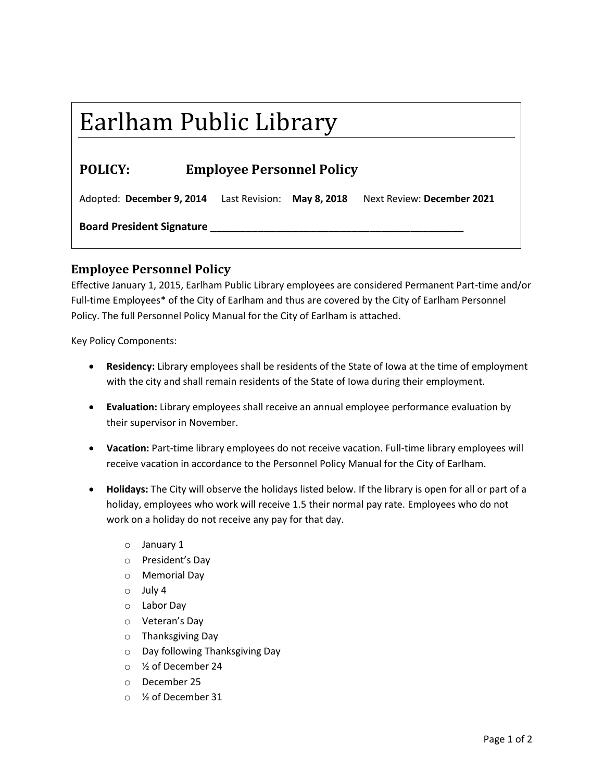## Earlham Public Library

## **POLICY: Employee Personnel Policy**

Adopted: **December 9, 2014** Last Revision: **May 8, 2018** Next Review: **December 2021**

**Board President Signature \_\_\_\_\_\_\_\_\_\_\_\_\_\_\_\_\_\_\_\_\_\_\_\_\_\_\_\_\_\_\_\_\_\_\_\_\_\_\_\_\_\_\_**

## **Employee Personnel Policy**

Effective January 1, 2015, Earlham Public Library employees are considered Permanent Part-time and/or Full-time Employees\* of the City of Earlham and thus are covered by the City of Earlham Personnel Policy. The full Personnel Policy Manual for the City of Earlham is attached.

Key Policy Components:

- **Residency:** Library employees shall be residents of the State of Iowa at the time of employment with the city and shall remain residents of the State of Iowa during their employment.
- **Evaluation:** Library employees shall receive an annual employee performance evaluation by their supervisor in November.
- **Vacation:** Part-time library employees do not receive vacation. Full-time library employees will receive vacation in accordance to the Personnel Policy Manual for the City of Earlham.
- **Holidays:** The City will observe the holidays listed below. If the library is open for all or part of a holiday, employees who work will receive 1.5 their normal pay rate. Employees who do not work on a holiday do not receive any pay for that day.
	- o January 1
	- o President's Day
	- o Memorial Day
	- o July 4
	- o Labor Day
	- o Veteran's Day
	- o Thanksgiving Day
	- o Day following Thanksgiving Day
	- o ½ of December 24
	- o December 25
	- o ½ of December 31